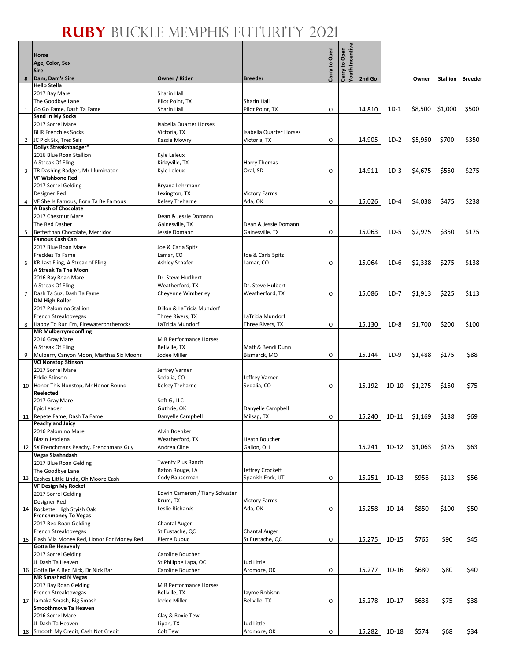$| \cdot |$ 

|              | <b>Horse</b><br>Age, Color, Sex<br><b>Sire</b>                         |                                               |                                                | Carry to Open | Youth Incentive<br>Carry to Open |        |         |                 |                         |       |
|--------------|------------------------------------------------------------------------|-----------------------------------------------|------------------------------------------------|---------------|----------------------------------|--------|---------|-----------------|-------------------------|-------|
| #            | Dam, Dam's Sire                                                        | Owner / Rider                                 | <b>Breeder</b>                                 |               |                                  | 2nd Go |         | Owner           | <b>Stallion Breeder</b> |       |
|              | <b>Hello Stella</b><br>2017 Bay Mare                                   | <b>Sharin Hall</b>                            |                                                |               |                                  |        |         |                 |                         |       |
|              | The Goodbye Lane                                                       | Pilot Point, TX                               | <b>Sharin Hall</b>                             |               |                                  |        |         |                 |                         |       |
|              | Go Go Fame, Dash Ta Fame                                               | <b>Sharin Hall</b>                            | Pilot Point, TX                                | O             |                                  | 14.810 | $1D-1$  | \$8,500 \$1,000 |                         | \$500 |
|              | <b>Sand In My Socks</b>                                                |                                               |                                                |               |                                  |        |         |                 |                         |       |
|              | 2017 Sorrel Mare                                                       | Isabella Quarter Horses                       |                                                |               |                                  |        |         |                 |                         |       |
| $\mathbf{2}$ | <b>BHR Frenchies Socks</b><br>JC Pick Six, Tres Seis                   | Victoria, TX<br>Kassie Mowry                  | <b>Isabella Quarter Horses</b><br>Victoria, TX | O             |                                  | 14.905 | $1D-2$  | \$5,950         | \$700                   | \$350 |
|              | Dollys Streaknbadger*                                                  |                                               |                                                |               |                                  |        |         |                 |                         |       |
|              | 2016 Blue Roan Stallion                                                | Kyle Leleux                                   |                                                |               |                                  |        |         |                 |                         |       |
|              | A Streak Of Fling                                                      | Kirbyville, TX                                | Harry Thomas                                   |               |                                  |        |         |                 |                         |       |
|              | 3   TR Dashing Badger, Mr Illuminator<br><b>VF Wishbone Red</b>        | Kyle Leleux                                   | Oral, SD                                       | O             |                                  | 14.911 | $1D-3$  | \$4,675         | \$550                   | \$275 |
|              | 2017 Sorrel Gelding                                                    | Bryana Lehrmann                               |                                                |               |                                  |        |         |                 |                         |       |
|              | Designer Red                                                           | Lexington, TX                                 | <b>Victory Farms</b>                           |               |                                  |        |         |                 |                         |       |
| 4            | VF She Is Famous, Born Ta Be Famous                                    | <b>Kelsey Treharne</b>                        | Ada, OK                                        | O             |                                  | 15.026 | $1D-4$  | \$4,038         | \$475                   | \$238 |
|              | A Dash of Chocolate                                                    |                                               |                                                |               |                                  |        |         |                 |                         |       |
|              | 2017 Chestnut Mare<br>The Red Dasher                                   | Dean & Jessie Domann<br>Gainesville, TX       | Dean & Jessie Domann                           |               |                                  |        |         |                 |                         |       |
| 5            | Betterthan Chocolate, Merridoc                                         | Jessie Domann                                 | Gainesville, TX                                | O             |                                  | 15.063 | $1D-5$  | \$2,975         | \$350                   | \$175 |
|              | <b>Famous Cash Can</b>                                                 |                                               |                                                |               |                                  |        |         |                 |                         |       |
|              | 2017 Blue Roan Mare                                                    | Joe & Carla Spitz                             |                                                |               |                                  |        |         |                 |                         |       |
|              | Freckles Ta Fame                                                       | Lamar, CO                                     | Joe & Carla Spitz                              |               |                                  |        |         |                 |                         |       |
|              | 6   KR Last Fling, A Streak of Fling<br>A Streak Ta The Moon           | Ashley Schafer                                | Lamar, CO                                      | O             |                                  | 15.064 | $1D-6$  | \$2,338         | \$275                   | \$138 |
|              | 2016 Bay Roan Mare                                                     | Dr. Steve Hurlbert                            |                                                |               |                                  |        |         |                 |                         |       |
|              | A Streak Of Fling                                                      | Weatherford, TX                               | Dr. Steve Hulbert                              |               |                                  |        |         |                 |                         |       |
|              | 7   Dash Ta Suz, Dash Ta Fame                                          | Cheyenne Wimberley                            | Weatherford, TX                                | O             |                                  | 15.086 | $1D-7$  | \$1,913         | \$225                   | \$113 |
|              | <b>DM High Roller</b>                                                  |                                               |                                                |               |                                  |        |         |                 |                         |       |
|              | 2017 Palomino Stallion<br>French Streaktovegas                         | Dillon & LaTricia Mundorf<br>Three Rivers, TX | LaTricia Mundorf                               |               |                                  |        |         |                 |                         |       |
|              | 8 Happy To Run Em, Firewaterontherocks                                 | LaTricia Mundorf                              | Three Rivers, TX                               | O             |                                  | 15.130 | $1D-8$  | \$1,700         | \$200                   | \$100 |
|              | <b>MR Mulberrymoonfling</b>                                            |                                               |                                                |               |                                  |        |         |                 |                         |       |
|              | 2016 Gray Mare                                                         | M R Performance Horses                        |                                                |               |                                  |        |         |                 |                         |       |
|              | A Streak Of Fling                                                      | Bellville, TX                                 | Matt & Bendi Dunn                              |               |                                  |        |         |                 |                         |       |
|              | 9 Mulberry Canyon Moon, Marthas Six Moons<br><b>VQ Nonstop Stinson</b> | Jodee Miller                                  | Bismarck, MO                                   | O             |                                  | 15.144 | $1D-9$  | \$1,488         | \$175                   | \$88  |
|              | 2017 Sorrel Mare                                                       | Jeffrey Varner                                |                                                |               |                                  |        |         |                 |                         |       |
|              | <b>Eddie Stinson</b>                                                   | Sedalia, CO                                   | Jeffrey Varner                                 |               |                                  |        |         |                 |                         |       |
|              | 10 Honor This Nonstop, Mr Honor Bound                                  | <b>Kelsey Treharne</b>                        | Sedalia, CO                                    | O             |                                  | 15.192 | $1D-10$ | \$1,275         | \$150                   | \$75  |
|              | Reelected                                                              | Soft G, LLC                                   |                                                |               |                                  |        |         |                 |                         |       |
|              | 2017 Gray Mare<br>Epic Leader                                          | Guthrie, OK                                   | Danyelle Campbell                              |               |                                  |        |         |                 |                         |       |
|              | 11 Repete Fame, Dash Ta Fame                                           | Danyelle Campbell                             | Milsap, TX                                     | O             |                                  | 15.240 | 1D-11   | \$1.169         | \$138                   | \$69  |
|              | <b>Peachy and Juicy</b>                                                |                                               |                                                |               |                                  |        |         |                 |                         |       |
|              | 2016 Palomino Mare                                                     | Alvin Boenker                                 |                                                |               |                                  |        |         |                 |                         |       |
|              | Blazin Jetolena<br>12 SX Frenchmans Peachy, Frenchmans Guy             | Weatherford, TX<br>Andrea Cline               | <b>Heath Boucher</b><br>Galion, OH             |               |                                  | 15.241 | $1D-12$ | \$1,063         | \$125                   | \$63  |
|              | <b>Vegas Slashndash</b>                                                |                                               |                                                |               |                                  |        |         |                 |                         |       |
|              | 2017 Blue Roan Gelding                                                 | <b>Twenty Plus Ranch</b>                      |                                                |               |                                  |        |         |                 |                         |       |
|              | The Goodbye Lane                                                       | Baton Rouge, LA                               | Jeffrey Crockett                               |               |                                  |        |         |                 |                         |       |
|              | 13 Cashes Little Linda, Oh Moore Cash                                  | Cody Bauserman                                | Spanish Fork, UT                               | O             |                                  | 15.251 | $1D-13$ | \$956           | \$113                   | \$56  |
|              | <b>VF Design My Rocket</b><br>2017 Sorrel Gelding                      | Edwin Cameron / Tiany Schuster                |                                                |               |                                  |        |         |                 |                         |       |
|              | Designer Red                                                           | Krum, TX                                      | <b>Victory Farms</b>                           |               |                                  |        |         |                 |                         |       |
|              | 14 Rockette, High Styish Oak                                           | Leslie Richards                               | Ada, OK                                        | O             |                                  | 15.258 | 1D-14   | \$850           | \$100                   | \$50  |
|              | <b>Frenchmoney To Vegas</b>                                            |                                               |                                                |               |                                  |        |         |                 |                         |       |
|              | 2017 Red Roan Gelding                                                  | <b>Chantal Auger</b>                          |                                                |               |                                  |        |         |                 |                         |       |
|              | French Streaktovegas<br>15 Flash Mia Money Red, Honor For Money Red    | St Eustache, QC<br>Pierre Dubuc               | <b>Chantal Auger</b><br>St Eustache, QC        | O             |                                  | 15.275 | $1D-15$ | \$765           | \$90                    | \$45  |
|              | <b>Gotta Be Heavenly</b>                                               |                                               |                                                |               |                                  |        |         |                 |                         |       |
|              | 2017 Sorrel Gelding                                                    | Caroline Boucher                              |                                                |               |                                  |        |         |                 |                         |       |
|              | JL Dash Ta Heaven                                                      | St Philippe Lapa, QC                          | Jud Little                                     |               |                                  |        |         |                 |                         |       |
|              | 16 Gotta Be A Red Nick, Dr Nick Bar                                    | <b>Caroline Boucher</b>                       | Ardmore, OK                                    | O             |                                  | 15.277 | $1D-16$ | \$680           | \$80                    | \$40  |
|              | <b>MR Smashed N Vegas</b><br>2017 Bay Roan Gelding                     | M R Performance Horses                        |                                                |               |                                  |        |         |                 |                         |       |
|              | French Streaktovegas                                                   | Bellville, TX                                 | Jayme Robison                                  |               |                                  |        |         |                 |                         |       |
|              | 17 Jamaka Smash, Big Smash                                             | Jodee Miller                                  | Bellville, TX                                  | O             |                                  | 15.278 | $1D-17$ | \$638           | \$75                    | \$38  |
|              | Smoothmove Ta Heaven                                                   |                                               |                                                |               |                                  |        |         |                 |                         |       |
|              | 2016 Sorrel Mare<br>JL Dash Ta Heaven                                  | Clay & Roxie Tew                              | Jud Little                                     |               |                                  |        |         |                 |                         |       |
|              | 18 Smooth My Credit, Cash Not Credit                                   | Lipan, TX<br>Colt Tew                         | Ardmore, OK                                    | O             |                                  | 15.282 | 1D-18   | \$574           | \$68                    | \$34  |
|              |                                                                        |                                               |                                                |               |                                  |        |         |                 |                         |       |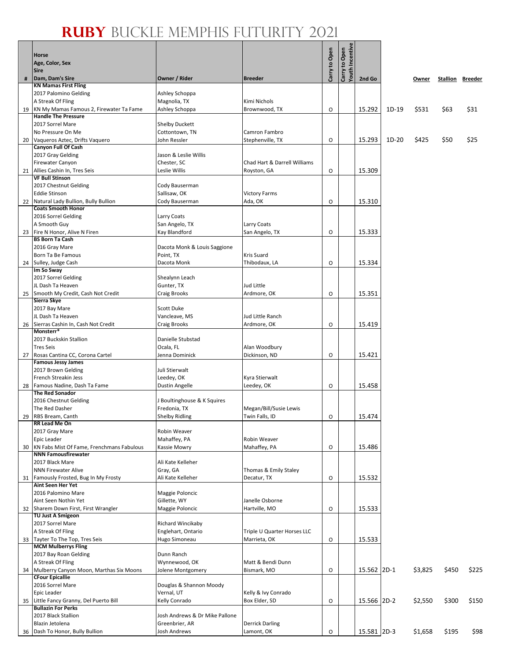Т

 $\bullet$ 

|    | <b>Horse</b>                                                          |                                             |                                      |               | Carry to Open<br>Youth Incentive |             |       |         |       |                         |
|----|-----------------------------------------------------------------------|---------------------------------------------|--------------------------------------|---------------|----------------------------------|-------------|-------|---------|-------|-------------------------|
|    | Age, Color, Sex                                                       |                                             |                                      | Carry to Open |                                  |             |       |         |       |                         |
|    | <b>Sire</b>                                                           |                                             |                                      |               |                                  |             |       |         |       |                         |
| #  | Dam, Dam's Sire<br><b>KN Mamas First Fling</b>                        | Owner / Rider                               | <b>Breeder</b>                       |               |                                  | 2nd Go      |       | Owner   |       | <b>Stallion Breeder</b> |
|    | 2017 Palomino Gelding                                                 | Ashley Schoppa                              |                                      |               |                                  |             |       |         |       |                         |
|    | A Streak Of Fling                                                     | Magnolia, TX                                | Kimi Nichols                         |               |                                  |             |       |         |       |                         |
| 19 | KN My Mamas Famous 2, Firewater Ta Fame<br><b>Handle The Pressure</b> | Ashley Schoppa                              | Brownwood, TX                        | $\circ$       |                                  | 15.292      | 1D-19 | \$531   | \$63  | \$31                    |
|    | 2017 Sorrel Mare                                                      | <b>Shelby Duckett</b>                       |                                      |               |                                  |             |       |         |       |                         |
|    | No Pressure On Me                                                     | Cottontown, TN                              | Camron Fambro                        |               |                                  |             |       |         |       |                         |
| 20 | Vaqueros Aztec, Drifts Vaquero                                        | John Ressler                                | Stephenville, TX                     | O             |                                  | 15.293      | 1D-20 | \$425   | \$50  | \$25                    |
|    | <b>Canyon Full Of Cash</b><br>2017 Gray Gelding                       | Jason & Leslie Willis                       |                                      |               |                                  |             |       |         |       |                         |
|    | <b>Firewater Canyon</b>                                               | Chester, SC                                 | Chad Hart & Darrell Williams         |               |                                  |             |       |         |       |                         |
| 21 | Allies Cashin In, Tres Seis                                           | Leslie Willis                               | Royston, GA                          | O             |                                  | 15.309      |       |         |       |                         |
|    | <b>VF Bull Stinson</b><br>2017 Chestnut Gelding                       | Cody Bauserman                              |                                      |               |                                  |             |       |         |       |                         |
|    | <b>Eddie Stinson</b>                                                  | Sallisaw, OK                                | <b>Victory Farms</b>                 |               |                                  |             |       |         |       |                         |
| 22 | Natural Lady Bullion, Bully Bullion                                   | Cody Bauserman                              | Ada, OK                              | O             |                                  | 15.310      |       |         |       |                         |
|    | <b>Coats Smooth Honor</b>                                             |                                             |                                      |               |                                  |             |       |         |       |                         |
|    | 2016 Sorrel Gelding<br>A Smooth Guy                                   | Larry Coats<br>San Angelo, TX               |                                      |               |                                  |             |       |         |       |                         |
| 23 | Fire N Honor, Alive N Firen                                           | Kay Blandford                               | Larry Coats<br>San Angelo, TX        | O             |                                  | 15.333      |       |         |       |                         |
|    | <b>BS Born Ta Cash</b>                                                |                                             |                                      |               |                                  |             |       |         |       |                         |
|    | 2016 Gray Mare                                                        | Dacota Monk & Louis Saggione                |                                      |               |                                  |             |       |         |       |                         |
|    | <b>Born Ta Be Famous</b><br>24 Sulley, Judge Cash                     | Point, TX<br>Dacota Monk                    | <b>Kris Suard</b><br>Thibodaux, LA   | $\circ$       |                                  | 15.334      |       |         |       |                         |
|    | Im So Sway                                                            |                                             |                                      |               |                                  |             |       |         |       |                         |
|    | 2017 Sorrel Gelding                                                   | Shealynn Leach                              |                                      |               |                                  |             |       |         |       |                         |
|    | JL Dash Ta Heaven                                                     | Gunter, TX                                  | Jud Little                           |               |                                  |             |       |         |       |                         |
|    | 25 Smooth My Credit, Cash Not Credit<br>Sierra Skye                   | Craig Brooks                                | Ardmore, OK                          | $\circ$       |                                  | 15.351      |       |         |       |                         |
|    | 2017 Bay Mare                                                         | <b>Scott Duke</b>                           |                                      |               |                                  |             |       |         |       |                         |
|    | JL Dash Ta Heaven                                                     | Vancleave, MS                               | Jud Little Ranch                     |               |                                  |             |       |         |       |                         |
|    | 26 Sierras Cashin In, Cash Not Credit<br>Monsterr*                    | Craig Brooks                                | Ardmore, OK                          | O             |                                  | 15.419      |       |         |       |                         |
|    | 2017 Buckskin Stallion                                                | Danielle Stubstad                           |                                      |               |                                  |             |       |         |       |                         |
|    | <b>Tres Seis</b>                                                      | Ocala, FL                                   | Alan Woodbury                        |               |                                  |             |       |         |       |                         |
| 27 | Rosas Cantina CC, Corona Cartel                                       | Jenna Dominick                              | Dickinson, ND                        | O             |                                  | 15.421      |       |         |       |                         |
|    | <b>Famous Jessy James</b><br>2017 Brown Gelding                       | Juli Stierwalt                              |                                      |               |                                  |             |       |         |       |                         |
|    | French Streakin Jess                                                  | Leedey, OK                                  | Kyra Stierwalt                       |               |                                  |             |       |         |       |                         |
|    | 28 Famous Nadine, Dash Ta Fame                                        | Dustin Angelle                              | Leedey, OK                           | $\circ$       |                                  | 15.458      |       |         |       |                         |
|    | <b>The Red Sonador</b>                                                |                                             |                                      |               |                                  |             |       |         |       |                         |
|    | 2016 Chestnut Gelding<br>The Red Dasher                               | J Boultinghouse & K Squires<br>Fredonia, TX | Megan/Bill/Susie Lewis               |               |                                  |             |       |         |       |                         |
|    | 29 RBS Bream, Canth                                                   | <b>Shelby Ridling</b>                       | Twin Falls, ID                       | 0             |                                  | 15.474      |       |         |       |                         |
|    | RR Lead Me On                                                         |                                             |                                      |               |                                  |             |       |         |       |                         |
|    | 2017 Gray Mare<br>Epic Leader                                         | <b>Robin Weaver</b><br>Mahaffey, PA         | Robin Weaver                         |               |                                  |             |       |         |       |                         |
| 30 | KN Fabs Mist Of Fame, Frenchmans Fabulous                             | Kassie Mowry                                | Mahaffey, PA                         | O             |                                  | 15.486      |       |         |       |                         |
|    | <b>NNN Famousfirewater</b>                                            |                                             |                                      |               |                                  |             |       |         |       |                         |
|    | 2017 Black Mare                                                       | Ali Kate Kelleher                           |                                      |               |                                  |             |       |         |       |                         |
| 31 | <b>NNN Firewater Alive</b><br>Famously Frosted, Bug In My Frosty      | Gray, GA<br>Ali Kate Kelleher               | Thomas & Emily Staley<br>Decatur, TX | O             |                                  | 15.532      |       |         |       |                         |
|    | Aint Seen Her Yet                                                     |                                             |                                      |               |                                  |             |       |         |       |                         |
|    | 2016 Palomino Mare                                                    | Maggie Poloncic                             |                                      |               |                                  |             |       |         |       |                         |
|    | Aint Seen Nothin Yet<br>32 Sharem Down First, First Wrangler          | Gillette, WY<br>Maggie Poloncic             | Janelle Osborne<br>Hartville, MO     | O             |                                  | 15.533      |       |         |       |                         |
|    | <b>TU Just A Smigeon</b>                                              |                                             |                                      |               |                                  |             |       |         |       |                         |
|    | 2017 Sorrel Mare                                                      | Richard Wincikaby                           |                                      |               |                                  |             |       |         |       |                         |
|    | A Streak Of Fling                                                     | Englehart, Ontario                          | Triple U Quarter Horses LLC          |               |                                  |             |       |         |       |                         |
|    | 33 Tayter To The Top, Tres Seis<br><b>MCM Mulberrys Fling</b>         | Hugo Simoneau                               | Marrieta, OK                         | O             |                                  | 15.533      |       |         |       |                         |
|    | 2017 Bay Roan Gelding                                                 | Dunn Ranch                                  |                                      |               |                                  |             |       |         |       |                         |
|    | A Streak Of Fling                                                     | Wynnewood, OK                               | Matt & Bendi Dunn                    |               |                                  |             |       |         |       |                         |
| 34 | Mulberry Canyon Moon, Marthas Six Moons<br><b>CFour Epicallie</b>     | Jolene Montgomery                           | Bismark, MO                          | O             |                                  | 15.562 2D-1 |       | \$3,825 | \$450 | \$225                   |
|    | 2016 Sorrel Mare                                                      | Douglas & Shannon Moody                     |                                      |               |                                  |             |       |         |       |                         |
|    | Epic Leader                                                           | Vernal, UT                                  | Kelly & Ivy Conrado                  |               |                                  |             |       |         |       |                         |
|    | 35 Little Fancy Granny, Del Puerto Bill                               | Kelly Conrado                               | Box Elder, SD                        | O             |                                  | 15.566 2D-2 |       | \$2,550 | \$300 | \$150                   |
|    | <b>Bullazin For Perks</b><br>2017 Black Stallion                      | Josh Andrews & Dr Mike Pallone              |                                      |               |                                  |             |       |         |       |                         |
|    | Blazin Jetolena                                                       | Greenbrier, AR                              | <b>Derrick Darling</b>               |               |                                  |             |       |         |       |                         |
|    | 36 Dash To Honor, Bully Bullion                                       | Josh Andrews                                | Lamont, OK                           | $\mathsf O$   |                                  | 15.581 2D-3 |       | \$1,658 | \$195 | \$98                    |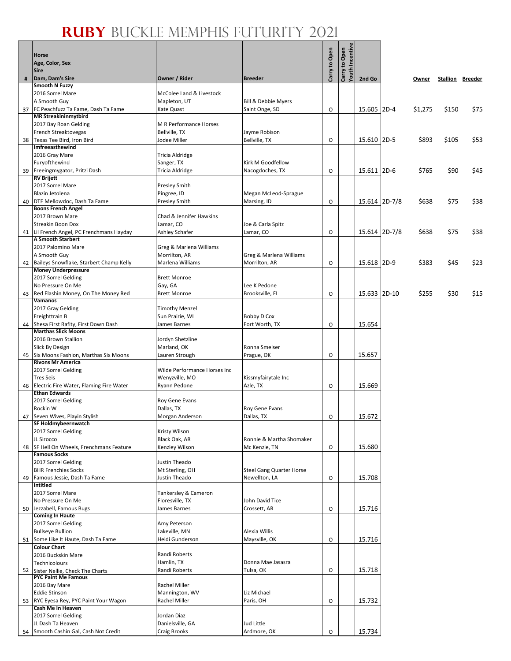#### **Ruby** Buckle Memphis Futurity 2021

| <b>Horse</b><br>Age, Color, Sex<br><b>Sire</b>                        |                                     |                                                  | Carry to Open | Carry to Open<br>Youth Incentive |               |         |                         |      |
|-----------------------------------------------------------------------|-------------------------------------|--------------------------------------------------|---------------|----------------------------------|---------------|---------|-------------------------|------|
| # Dam, Dam's Sire                                                     | Owner / Rider                       | <b>Breeder</b>                                   |               |                                  | 2nd Go        | Owner   | <b>Stallion Breeder</b> |      |
| <b>Smooth N Fuzzy</b>                                                 |                                     |                                                  |               |                                  |               |         |                         |      |
| 2016 Sorrel Mare<br>A Smooth Guy                                      | McColee Land & Livestock            | <b>Bill &amp; Debbie Myers</b>                   |               |                                  |               |         |                         |      |
| 37 FC Peachfuzz Ta Fame, Dash Ta Fame                                 | Mapleton, UT<br>Kate Quast          | Saint Onge, SD                                   | O             |                                  | 15.605 2D-4   | \$1,275 | \$150                   | \$75 |
| <b>MR Streakininmytbird</b>                                           |                                     |                                                  |               |                                  |               |         |                         |      |
| 2017 Bay Roan Gelding                                                 | <b>M R Performance Horses</b>       |                                                  |               |                                  |               |         |                         |      |
| French Streaktovegas                                                  | Bellville, TX                       | Jayme Robison                                    |               |                                  |               |         |                         |      |
| 38 Texas Tee Bird, Iron Bird<br><b>Imfreeasthewind</b>                | Jodee Miller                        | Bellville, TX                                    | O             |                                  | 15.610 2D-5   | \$893   | \$105                   | \$53 |
| 2016 Gray Mare                                                        | Tricia Aldridge                     |                                                  |               |                                  |               |         |                         |      |
| Furyofthewind                                                         | Sanger, TX                          | Kirk M Goodfellow                                |               |                                  |               |         |                         |      |
| 39 Freeingmygator, Pritzi Dash                                        | Tricia Aldridge                     | Nacogdoches, TX                                  | O             |                                  | 15.611 2D-6   | \$765   | \$90                    | \$45 |
| <b>RV Brijett</b>                                                     |                                     |                                                  |               |                                  |               |         |                         |      |
| 2017 Sorrel Mare<br>Blazin Jetolena                                   | <b>Presley Smith</b><br>Pingree, ID | Megan McLeod-Sprague                             |               |                                  |               |         |                         |      |
| 40 DTF Mellowdoc, Dash Ta Fame                                        | <b>Presley Smith</b>                | Marsing, ID                                      | O             |                                  | 15.614 2D-7/8 | \$638   | \$75                    | \$38 |
| <b>Boons French Angel</b>                                             |                                     |                                                  |               |                                  |               |         |                         |      |
| 2017 Brown Mare                                                       | Chad & Jennifer Hawkins             |                                                  |               |                                  |               |         |                         |      |
| <b>Streakin Boon Dox</b>                                              | Lamar, CO                           | Joe & Carla Spitz                                |               |                                  |               |         |                         |      |
| 41 Lil French Angel, PC Frenchmans Hayday<br><b>A Smooth Starbert</b> | Ashley Schafer                      | Lamar, CO                                        | O             |                                  | 15.614 2D-7/8 | \$638   | \$75                    | \$38 |
| 2017 Palomino Mare                                                    | Greg & Marlena Williams             |                                                  |               |                                  |               |         |                         |      |
| A Smooth Guy                                                          | Morrilton, AR                       | Greg & Marlena Williams                          |               |                                  |               |         |                         |      |
| 42 Baileys Snowflake, Starbert Champ Kelly                            | Marlena Williams                    | Morrilton, AR                                    | O             |                                  | 15.618 2D-9   | \$383   | \$45                    | \$23 |
| <b>Money Underpressure</b>                                            |                                     |                                                  |               |                                  |               |         |                         |      |
| 2017 Sorrel Gelding                                                   | <b>Brett Monroe</b>                 |                                                  |               |                                  |               |         |                         |      |
| No Pressure On Me<br>43 Red Flashin Money, On The Money Red           | Gay, GA<br><b>Brett Monroe</b>      | Lee K Pedone<br>Brooksville, FL                  | O             |                                  | 15.633 2D-10  | \$255   | \$30                    | \$15 |
| Vamanos                                                               |                                     |                                                  |               |                                  |               |         |                         |      |
| 2017 Gray Gelding                                                     | <b>Timothy Menzel</b>               |                                                  |               |                                  |               |         |                         |      |
| Freighttrain B                                                        | Sun Prairie, WI                     | Bobby D Cox                                      |               |                                  |               |         |                         |      |
| 44 Shesa First Rafity, First Down Dash                                | James Barnes                        | Fort Worth, TX                                   | O             |                                  | 15.654        |         |                         |      |
| <b>Marthas Slick Moons</b><br>2016 Brown Stallion                     | Jordyn Shetzline                    |                                                  |               |                                  |               |         |                         |      |
| Slick By Design                                                       | Marland, OK                         | Ronna Smelser                                    |               |                                  |               |         |                         |      |
| 45 Six Moons Fashion, Marthas Six Moons                               | Lauren Strough                      | Prague, OK                                       | O             |                                  | 15.657        |         |                         |      |
| <b>Rivons Mr America</b>                                              |                                     |                                                  |               |                                  |               |         |                         |      |
| 2017 Sorrel Gelding                                                   | Wilde Performance Horses Inc        |                                                  |               |                                  |               |         |                         |      |
| <b>Tres Seis</b><br>46 Electric Fire Water, Flaming Fire Water        | Wenyzville, MO<br>Ryann Pedone      | Kissmyfairytale Inc<br>Azle, TX                  | O             |                                  | 15.669        |         |                         |      |
| <b>Ethan Edwards</b>                                                  |                                     |                                                  |               |                                  |               |         |                         |      |
| 2017 Sorrel Gelding                                                   | Roy Gene Evans                      |                                                  |               |                                  |               |         |                         |      |
| Rockin W                                                              | Dallas, TX                          | Roy Gene Evans                                   |               |                                  |               |         |                         |      |
| 47 Seven Wives, Playin Stylish                                        | Morgan Anderson                     | Dallas, TX                                       | О             |                                  | 15.672        |         |                         |      |
| SF Holdmybeernwatch<br>2017 Sorrel Gelding                            | Kristy Wilson                       |                                                  |               |                                  |               |         |                         |      |
| JL Sirocco                                                            | Black Oak, AR                       | Ronnie & Martha Shomaker                         |               |                                  |               |         |                         |      |
| 48 SF Hell On Wheels, Frenchmans Feature                              | Kenzley Wilson                      | Mc Kenzie, TN                                    | O             |                                  | 15.680        |         |                         |      |
| <b>Famous Socks</b>                                                   |                                     |                                                  |               |                                  |               |         |                         |      |
| 2017 Sorrel Gelding                                                   | Justin Theado                       |                                                  |               |                                  |               |         |                         |      |
| <b>BHR Frenchies Socks</b><br>49 Famous Jessie, Dash Ta Fame          | Mt Sterling, OH<br>Justin Theado    | <b>Steel Gang Quarter Horse</b><br>Newellton, LA | O             |                                  | 15.708        |         |                         |      |
| <b>Intitled</b>                                                       |                                     |                                                  |               |                                  |               |         |                         |      |
| 2017 Sorrel Mare                                                      | Tankersley & Cameron                |                                                  |               |                                  |               |         |                         |      |
| No Pressure On Me                                                     | Floresville, TX                     | John David Tice                                  |               |                                  |               |         |                         |      |
| 50 Jezzabell, Famous Bugs                                             | James Barnes                        | Crossett, AR                                     | O             |                                  | 15.716        |         |                         |      |
| <b>Coming In Haute</b><br>2017 Sorrel Gelding                         | Amy Peterson                        |                                                  |               |                                  |               |         |                         |      |
| <b>Bullseye Bullion</b>                                               | Lakeville, MN                       | Alexia Willis                                    |               |                                  |               |         |                         |      |
| 51 Some Like It Haute, Dash Ta Fame                                   | Heidi Gunderson                     | Maysville, OK                                    | O             |                                  | 15.716        |         |                         |      |
| <b>Colour Chart</b>                                                   |                                     |                                                  |               |                                  |               |         |                         |      |
| 2016 Buckskin Mare                                                    | Randi Roberts                       |                                                  |               |                                  |               |         |                         |      |
| Technicolours<br>52 Sister Nellie, Check The Charts                   | Hamlin, TX<br>Randi Roberts         | Donna Mae Jasasra<br>Tulsa, OK                   | O             |                                  | 15.718        |         |                         |      |
| <b>PYC Paint Me Famous</b>                                            |                                     |                                                  |               |                                  |               |         |                         |      |
| 2016 Bay Mare                                                         | Rachel Miller                       |                                                  |               |                                  |               |         |                         |      |
| <b>Eddie Stinson</b>                                                  | Mannington, WV                      | Liz Michael                                      |               |                                  |               |         |                         |      |
| 53 RYC Eyesa Rey, PYC Paint Your Wagon<br>Cash Me In Heaven           | Rachel Miller                       | Paris, OH                                        | O             |                                  | 15.732        |         |                         |      |
| 2017 Sorrel Gelding                                                   | Jordan Diaz                         |                                                  |               |                                  |               |         |                         |      |
| JL Dash Ta Heaven                                                     | Danielsville, GA                    | Jud Little                                       |               |                                  |               |         |                         |      |
| 54 Smooth Cashin Gal, Cash Not Credit                                 | Craig Brooks                        | Ardmore, OK                                      | O             |                                  | 15.734        |         |                         |      |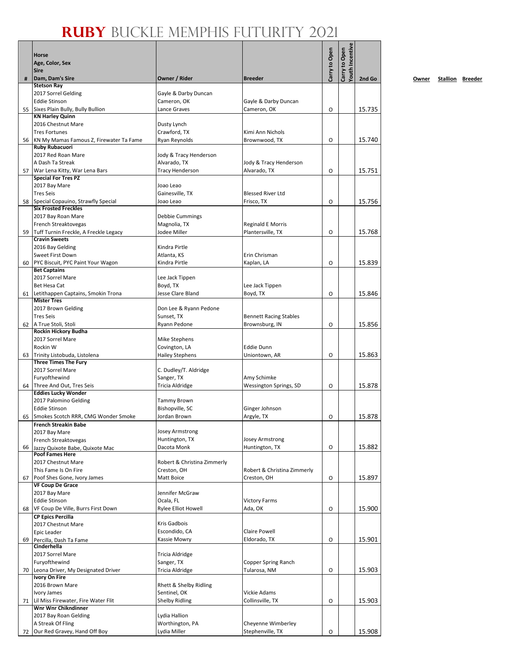|    | Horse<br>Age, Color, Sex<br><b>Sire</b>                    |                                     |                                            | Carry to Open | <b>Touth Incentive</b><br>Carry to Open |        |
|----|------------------------------------------------------------|-------------------------------------|--------------------------------------------|---------------|-----------------------------------------|--------|
| #  | Dam, Dam's Sire                                            | Owner / Rider                       | <b>Breeder</b>                             |               |                                         | 2nd Go |
|    | <b>Stetson Ray</b>                                         |                                     |                                            |               |                                         |        |
|    | 2017 Sorrel Gelding                                        | Gayle & Darby Duncan                |                                            |               |                                         |        |
|    | <b>Eddie Stinson</b>                                       | Cameron, OK                         | Gayle & Darby Duncan                       |               |                                         |        |
| 55 | Sixes Plain Bully, Bully Bullion<br><b>KN Harley Quinn</b> | Lance Graves                        | Cameron, OK                                | O             |                                         | 15.735 |
|    | 2016 Chestnut Mare                                         | Dusty Lynch                         |                                            |               |                                         |        |
|    | <b>Tres Fortunes</b>                                       | Crawford, TX                        | Kimi Ann Nichols                           |               |                                         |        |
| 56 | KN My Mamas Famous Z, Firewater Ta Fame                    | Ryan Reynolds                       | Brownwood, TX                              | O             |                                         | 15.740 |
|    | <b>Ruby Rubacuori</b>                                      |                                     |                                            |               |                                         |        |
|    | 2017 Red Roan Mare                                         | Jody & Tracy Henderson              |                                            |               |                                         |        |
| 57 | A Dash Ta Streak<br>War Lena Kitty, War Lena Bars          | Alvarado, TX<br>Tracy Henderson     | Jody & Tracy Henderson<br>Alvarado, TX     | O             |                                         | 15.751 |
|    | <b>Special For Tres PZ</b>                                 |                                     |                                            |               |                                         |        |
|    | 2017 Bay Mare                                              | Joao Leao                           |                                            |               |                                         |        |
|    | <b>Tres Seis</b>                                           | Gainesville, TX                     | <b>Blessed River Ltd</b>                   |               |                                         |        |
| 58 | Special Copauino, Strawfly Special                         | Joao Leao                           | Frisco, TX                                 | O             |                                         | 15.756 |
|    | <b>Six Frosted Freckles</b><br>2017 Bay Roan Mare          | Debbie Cummings                     |                                            |               |                                         |        |
|    | French Streaktovegas                                       | Magnolia, TX                        | Reginald E Morris                          |               |                                         |        |
| 59 | Tuff Turnin Freckle, A Freckle Legacy                      | Jodee Miller                        | Plantersville, TX                          | O             |                                         | 15.768 |
|    | <b>Cravin Sweets</b>                                       |                                     |                                            |               |                                         |        |
|    | 2016 Bay Gelding                                           | Kindra Pirtle                       |                                            |               |                                         |        |
|    | <b>Sweet First Down</b>                                    | Atlanta, KS                         | Erin Chrisman                              |               |                                         |        |
| 60 | PYC Biscuit, PYC Paint Your Wagon<br><b>Bet Captains</b>   | Kindra Pirtle                       | Kaplan, LA                                 | O             |                                         | 15.839 |
|    | 2017 Sorrel Mare                                           | Lee Jack Tippen                     |                                            |               |                                         |        |
|    | Bet Hesa Cat                                               | Boyd, TX                            | Lee Jack Tippen                            |               |                                         |        |
| 61 | Letithappen Captains, Smokin Trona                         | Jesse Clare Bland                   | Boyd, TX                                   | O             |                                         | 15.846 |
|    | <b>Mister Tres</b>                                         |                                     |                                            |               |                                         |        |
|    | 2017 Brown Gelding                                         | Don Lee & Ryann Pedone              |                                            |               |                                         |        |
|    | <b>Tres Seis</b>                                           | Sunset, TX<br>Ryann Pedone          | <b>Bennett Racing Stables</b>              | O             |                                         | 15.856 |
|    | 62 A True Stoli, Stoli<br>Rockin Hickory Budha             |                                     | Brownsburg, IN                             |               |                                         |        |
|    | 2017 Sorrel Mare                                           | Mike Stephens                       |                                            |               |                                         |        |
|    | Rockin W                                                   | Covington, LA                       | <b>Eddie Dunn</b>                          |               |                                         |        |
| 63 | Trinity Listobuda, Listolena                               | Hailey Stephens                     | Uniontown, AR                              | O             |                                         | 15.863 |
|    | <b>Three Times The Fury</b>                                |                                     |                                            |               |                                         |        |
|    | 2017 Sorrel Mare<br>Furyofthewind                          | C. Dudley/T. Aldridge<br>Sanger, TX | Amy Schimke                                |               |                                         |        |
|    | 64 Three And Out, Tres Seis                                | Tricia Aldridge                     | Wessington Springs, SD                     | O             |                                         | 15.878 |
|    | <b>Eddies Lucky Wonder</b>                                 |                                     |                                            |               |                                         |        |
|    | 2017 Palomino Gelding                                      | Tammy Brown                         |                                            |               |                                         |        |
|    | <b>Eddie Stinson</b>                                       | Bishopville, SC                     | Ginger Johnson                             |               |                                         |        |
|    | 65 Smokes Scotch RRR, CMG Wonder Smoke                     | Jordan Brown                        | Argyle, TX                                 | О             |                                         | 15.878 |
|    | <b>French Streakin Babe</b><br>2017 Bay Mare               | Josey Armstrong                     |                                            |               |                                         |        |
|    | French Streaktovegas                                       | Huntington, TX                      | <b>Josey Armstrong</b>                     |               |                                         |        |
| 66 | Jazzy Quixote Babe, Quixote Mac                            | Dacota Monk                         | Huntington, TX                             | O             |                                         | 15.882 |
|    | <b>Poof Fames Here</b>                                     |                                     |                                            |               |                                         |        |
|    | 2017 Chestnut Mare                                         | Robert & Christina Zimmerly         |                                            |               |                                         |        |
|    | This Fame Is On Fire<br>Poof Shes Gone, Ivory James        | Creston, OH<br>Matt Boice           | Robert & Christina Zimmerly<br>Creston, OH | O             |                                         | 15.897 |
| 67 | <b>VF Coup De Grace</b>                                    |                                     |                                            |               |                                         |        |
|    | 2017 Bay Mare                                              | Jennifer McGraw                     |                                            |               |                                         |        |
|    | <b>Eddie Stinson</b>                                       | Ocala, FL                           | <b>Victory Farms</b>                       |               |                                         |        |
| 68 | VF Coup De Ville, Burrs First Down                         | <b>Rylee Elliot Howell</b>          | Ada, OK                                    | O             |                                         | 15.900 |
|    | <b>CP Epics Percilla</b>                                   |                                     |                                            |               |                                         |        |
|    | 2017 Chestnut Mare                                         | Kris Gadbois<br>Escondido, CA       | <b>Claire Powell</b>                       |               |                                         |        |
| 69 | Epic Leader                                                | Kassie Mowry                        | Eldorado, TX                               | O             |                                         | 15.901 |
|    | Percilla, Dash Ta Fame<br>Cinderhella                      |                                     |                                            |               |                                         |        |
|    | 2017 Sorrel Mare                                           | Tricia Aldridge                     |                                            |               |                                         |        |
|    | Furyofthewind                                              | Sanger, TX                          | Copper Spring Ranch                        |               |                                         |        |
| 70 | Leona Driver, My Designated Driver                         | Tricia Aldridge                     | Tularosa, NM                               | O             |                                         | 15.903 |
|    | <b>Ivory On Fire</b><br>2016 Brown Mare                    | Rhett & Shelby Ridling              |                                            |               |                                         |        |
|    | Ivory James                                                | Sentinel, OK                        | Vickie Adams                               |               |                                         |        |
| 71 | Lil Miss Firewater, Fire Water Flit                        | Shelby Ridling                      | Collinsville, TX                           | O             |                                         | 15.903 |
|    | Wnr Wnr Chikndinner                                        |                                     |                                            |               |                                         |        |
|    | 2017 Bay Roan Gelding                                      | Lydia Hallion                       |                                            |               |                                         |        |
|    | A Streak Of Fling                                          | Worthington, PA                     | Cheyenne Wimberley                         |               |                                         |        |
| 72 | Our Red Gravey, Hand Off Boy                               | Lydia Miller                        | Stephenville, TX                           | O             |                                         | 15.908 |

**2nd Go Owner Stallion Breeder**

 $\overline{\phantom{a}}$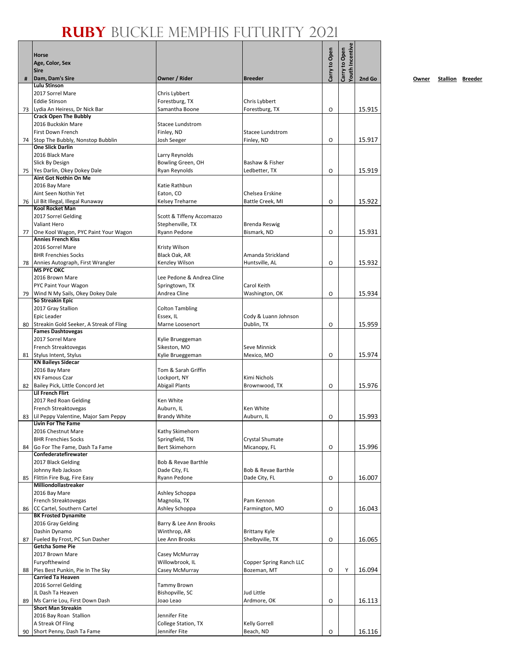|    | Horse<br>Age, Color, Sex<br><b>Sire</b>                              |                                     |                                     | Carry to Open | <b>routh Incentive</b><br>Carry to Open |        |
|----|----------------------------------------------------------------------|-------------------------------------|-------------------------------------|---------------|-----------------------------------------|--------|
| #  | Dam, Dam's Sire                                                      | Owner / Rider                       | <b>Breeder</b>                      |               |                                         | 2nd Go |
|    | <b>Lulu Stinson</b>                                                  |                                     |                                     |               |                                         |        |
|    | 2017 Sorrel Mare                                                     | Chris Lybbert                       |                                     |               |                                         |        |
|    | <b>Eddie Stinson</b><br>73 Lydia An Heiress, Dr Nick Bar             | Forestburg, TX<br>Samantha Boone    | Chris Lybbert<br>Forestburg, TX     | O             |                                         | 15.915 |
|    | <b>Crack Open The Bubbly</b>                                         |                                     |                                     |               |                                         |        |
|    | 2016 Buckskin Mare                                                   | Stacee Lundstrom                    |                                     |               |                                         |        |
|    | <b>First Down French</b>                                             | Finley, ND                          | Stacee Lundstrom                    |               |                                         |        |
|    | 74 Stop The Bubbly, Nonstop Bubblin<br><b>One Slick Darlin</b>       | Josh Seeger                         | Finley, ND                          | O             |                                         | 15.917 |
|    | 2016 Black Mare                                                      | Larry Reynolds                      |                                     |               |                                         |        |
|    | Slick By Design                                                      | Bowling Green, OH                   | Bashaw & Fisher                     |               |                                         |        |
| 75 | Yes Darlin, Okey Dokey Dale                                          | Ryan Reynolds                       | Ledbetter, TX                       | O             |                                         | 15.919 |
|    | Aint Got Nothin On Me                                                |                                     |                                     |               |                                         |        |
|    | 2016 Bay Mare                                                        | Katie Rathbun                       |                                     |               |                                         |        |
|    | Aint Seen Nothin Yet<br>76 Lil Bit Illegal, Illegal Runaway          | Eaton, CO<br><b>Kelsey Treharne</b> | Chelsea Erskine<br>Battle Creek, MI | O             |                                         | 15.922 |
|    | <b>Kool Rocket Man</b>                                               |                                     |                                     |               |                                         |        |
|    | 2017 Sorrel Gelding                                                  | Scott & Tiffeny Accomazzo           |                                     |               |                                         |        |
|    | Valiant Hero                                                         | Stephenville, TX                    | Brenda Reswig                       |               |                                         |        |
| 77 | One Kool Wagon, PYC Paint Your Wagon                                 | Ryann Pedone                        | Bismark, ND                         | O             |                                         | 15.931 |
|    | <b>Annies French Kiss</b><br>2016 Sorrel Mare                        | Kristy Wilson                       |                                     |               |                                         |        |
|    | <b>BHR Frenchies Socks</b>                                           | Black Oak, AR                       | Amanda Strickland                   |               |                                         |        |
| 78 | Annies Autograph, First Wrangler                                     | Kenzley Wilson                      | Huntsville, AL                      | O             |                                         | 15.932 |
|    | <b>MS PYC OKC</b>                                                    |                                     |                                     |               |                                         |        |
|    | 2016 Brown Mare                                                      | Lee Pedone & Andrea Cline           |                                     |               |                                         |        |
| 79 | PYC Paint Your Wagon<br>Wind N My Sails, Okey Dokey Dale             | Springtown, TX<br>Andrea Cline      | Carol Keith<br>Washington, OK       | O             |                                         | 15.934 |
|    | So Streakin Epic                                                     |                                     |                                     |               |                                         |        |
|    | 2017 Gray Stallion                                                   | <b>Colton Tambling</b>              |                                     |               |                                         |        |
|    | Epic Leader                                                          | Essex, IL                           | Cody & Luann Johnson                |               |                                         |        |
| 80 | Streakin Gold Seeker, A Streak of Fling<br><b>Fames Dashtovegas</b>  | Marne Loosenort                     | Dublin, TX                          | O             |                                         | 15.959 |
|    | 2017 Sorrel Mare                                                     | Kylie Brueggeman                    |                                     |               |                                         |        |
|    | French Streaktovegas                                                 | Sikeston, MO                        | Seve Minnick                        |               |                                         |        |
|    | 81 Stylus Intent, Stylus                                             | Kylie Brueggeman                    | Mexico, MO                          | O             |                                         | 15.974 |
|    | <b>KN Baileys Sidecar</b>                                            |                                     |                                     |               |                                         |        |
|    | 2016 Bay Mare<br><b>KN Famous Czar</b>                               | Tom & Sarah Griffin<br>Lockport, NY | Kimi Nichols                        |               |                                         |        |
|    | 82 Bailey Pick, Little Concord Jet                                   | <b>Abigail Plants</b>               | Brownwood, TX                       | O             |                                         | 15.976 |
|    | <b>Lil French Flirt</b>                                              |                                     |                                     |               |                                         |        |
|    | 2017 Red Roan Gelding                                                | Ken White                           |                                     |               |                                         |        |
|    | French Streaktovegas                                                 | Auburn, IL                          | Ken White                           |               |                                         |        |
|    | 83 Lil Peppy Valentine, Major Sam Peppy<br><b>Livin For The Fame</b> | <b>Brandy White</b>                 | Auburn, IL                          | O             |                                         | 15.993 |
|    | 2016 Chestnut Mare                                                   | Kathy Skimehorn                     |                                     |               |                                         |        |
|    | <b>BHR Frenchies Socks</b>                                           | Springfield, TN                     | Crystal Shumate                     |               |                                         |        |
| 84 | Go For The Fame, Dash Ta Fame                                        | <b>Bert Skimehorn</b>               | Micanopy, FL                        | O             |                                         | 15.996 |
|    | Confederatefirewater<br>2017 Black Gelding                           | Bob & Revae Barthle                 |                                     |               |                                         |        |
|    | Johnny Reb Jackson                                                   | Dade City, FL                       | Bob & Revae Barthle                 |               |                                         |        |
| 85 | Flittin Fire Bug, Fire Easy                                          | Ryann Pedone                        | Dade City, FL                       | O             |                                         | 16.007 |
|    | Milliondollastreaker                                                 |                                     |                                     |               |                                         |        |
|    | 2016 Bay Mare                                                        | Ashley Schoppa                      |                                     |               |                                         |        |
| 86 | French Streaktovegas<br>CC Cartel, Southern Cartel                   | Magnolia, TX<br>Ashley Schoppa      | Pam Kennon<br>Farmington, MO        | O             |                                         | 16.043 |
|    | <b>BK Frosted Dynamite</b>                                           |                                     |                                     |               |                                         |        |
|    | 2016 Gray Gelding                                                    | Barry & Lee Ann Brooks              |                                     |               |                                         |        |
|    | Dashin Dynamo                                                        | Winthrop, AR                        | <b>Brittany Kyle</b>                |               |                                         |        |
| 87 | Fueled By Frost, PC Sun Dasher                                       | Lee Ann Brooks                      | Shelbyville, TX                     | O             |                                         | 16.065 |
|    | Getcha Some Pie<br>2017 Brown Mare                                   | Casey McMurray                      |                                     |               |                                         |        |
|    | Furyofthewind                                                        | Willowbrook, IL                     | Copper Spring Ranch LLC             |               |                                         |        |
| 88 | Pies Best Punkin, Pie In The Sky                                     | Casey McMurray                      | Bozeman, MT                         | O             | Υ                                       | 16.094 |
|    | <b>Carried Ta Heaven</b>                                             |                                     |                                     |               |                                         |        |
|    | 2016 Sorrel Gelding                                                  | Tammy Brown                         |                                     |               |                                         |        |
| 89 | JL Dash Ta Heaven<br>Ms Carrie Lou, First Down Dash                  | Bishopville, SC<br>Joao Leao        | Jud Little<br>Ardmore, OK           | O             |                                         | 16.113 |
|    | <b>Short Man Streakin</b>                                            |                                     |                                     |               |                                         |        |
|    | 2016 Bay Roan Stallion                                               | Jennifer Fite                       |                                     |               |                                         |        |
|    | A Streak Of Fling                                                    | College Station, TX                 | Kelly Gorrell                       |               |                                         |        |
| 90 | Short Penny, Dash Ta Fame                                            | Jennifer Fite                       | Beach, ND                           | O             |                                         | 16.116 |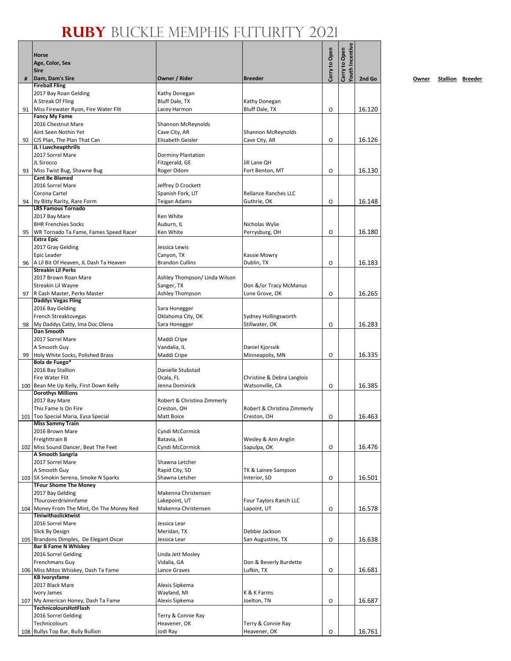|    | <b>Horse</b><br>Age, Color, Sex<br><b>Sire</b>                      |                                        |                                               | Carry to Open | <b>Touth Incentive</b><br>Carry to Open |        |
|----|---------------------------------------------------------------------|----------------------------------------|-----------------------------------------------|---------------|-----------------------------------------|--------|
| #  | Dam, Dam's Sire                                                     | Owner / Rider                          | <b>Breeder</b>                                |               |                                         | 2nd Go |
|    | <b>Fireball Fling</b>                                               |                                        |                                               |               |                                         |        |
|    | 2017 Bay Roan Gelding                                               | Kathy Donegan<br><b>Bluff Dale, TX</b> |                                               |               |                                         |        |
| 91 | A Streak Of Fling<br>Miss Firewater Ryon, Fire Water Flit           | Lacey Harmon                           | Kathy Donegan<br>Bluff Dale, TX               | O             |                                         | 16.120 |
|    | <b>Fancy My Fame</b>                                                |                                        |                                               |               |                                         |        |
|    | 2016 Chestnut Mare                                                  | Shannon McReynolds                     |                                               |               |                                         |        |
|    | Aint Seen Nothin Yet                                                | Cave City, AR                          | Shannon McReynolds                            |               |                                         |        |
| 92 | CJS Plan, The Plan That Can                                         | Elisabeth Geisler                      | Cave City, AR                                 | O             |                                         | 16.126 |
|    | JL I Luvcheapthrills                                                |                                        |                                               |               |                                         |        |
|    | 2017 Sorrel Mare                                                    | <b>Dorminy Plantation</b>              |                                               |               |                                         |        |
|    | JL Sirocco                                                          | Fitzgerald, GE                         | Jill Lane OH                                  |               |                                         |        |
| 93 | Miss Twist Bug, Shawne Bug<br><b>Cant Be Blamed</b>                 | Roger Odom                             | Fort Benton, MT                               | O             |                                         | 16.130 |
|    | 2016 Sorrel Mare                                                    | Jeffrey D Crockett                     |                                               |               |                                         |        |
|    | Corona Cartel                                                       | Spanish Fork, UT                       | Reliance Ranches LLC                          |               |                                         |        |
| 94 | Ity Bitty Rarity, Rare Form                                         | Teigan Adams                           | Guthrie, OK                                   | O             |                                         | 16.148 |
|    | <b>LRS Famous Tornado</b>                                           |                                        |                                               |               |                                         |        |
|    | 2017 Bay Mare                                                       | Ken White                              |                                               |               |                                         |        |
|    | <b>BHR Frenchies Socks</b>                                          | Auburn, IL                             | Nicholas Wylie                                |               |                                         |        |
| 95 | WR Tornado Ta Fame, Fames Speed Racer<br><b>Extra Epic</b>          | Ken White                              | Perrysburg, OH                                | O             |                                         | 16.180 |
|    | 2017 Gray Gelding                                                   | Jessica Lewis                          |                                               |               |                                         |        |
|    | Epic Leader                                                         | Canyon, TX                             | Kassie Mowry                                  |               |                                         |        |
| 96 | A Lil Bit Of Heaven, JL Dash Ta Heaven                              | <b>Brandon Cullins</b>                 | Dublin, TX                                    | O             |                                         | 16.183 |
|    | <b>Streakin Lil Perks</b>                                           |                                        |                                               |               |                                         |        |
|    | 2017 Brown Roan Mare                                                | Ashley Thompson/ Linda Wilson          |                                               |               |                                         |        |
|    | Streakin Lil Wayne                                                  | Sanger, TX                             | Don &/or Tracy McManus                        |               |                                         |        |
| 97 | R Cash Master, Perks Master                                         | Ashley Thompson                        | Lone Grove, OK                                | O             |                                         | 16.265 |
|    | <b>Daddys Vegas Fling</b><br>2016 Bay Gelding                       | Sara Honegger                          |                                               |               |                                         |        |
|    | French Streaktovegas                                                | Oklahoma City, OK                      | Sydney Hollingsworth                          |               |                                         |        |
| 98 | My Daddys Catty, Ima Doc Olena                                      | Sara Honegger                          | Stillwater, OK                                | O             |                                         | 16.283 |
|    | Dan Smooth                                                          |                                        |                                               |               |                                         |        |
|    | 2017 Sorrel Mare                                                    | Maddi Cripe                            |                                               |               |                                         |        |
|    | A Smooth Guy                                                        | Vandalia, IL                           | Daniel Kjorsvik                               |               |                                         |        |
| 99 | Holy White Socks, Polished Brass                                    | Maddi Cripe                            | Minneapolis, MN                               | O             |                                         | 16.335 |
|    | Bola de Fuego*                                                      |                                        |                                               |               |                                         |        |
|    | 2016 Bay Stallion                                                   | Danielle Stubstad                      |                                               |               |                                         |        |
|    | Fire Water Flit<br>100 Bean Me Up Kelly, First Down Kelly           | Ocala, FL<br>Jenna Dominick            | Christine & Debra Langlois<br>Watsonville, CA |               |                                         | 16.385 |
|    | <b>Dorothys Millions</b>                                            |                                        |                                               | O             |                                         |        |
|    | 2017 Bay Mare                                                       | Robert & Christina Zimmerly            |                                               |               |                                         |        |
|    | This Fame Is On Fire                                                | Creston, OH                            | Robert & Christina Zimmerly                   |               |                                         |        |
|    | 101 Too Special Maria, Eysa Special                                 | Matt Boice                             | Creston, OH                                   | O             |                                         | 16.463 |
|    | <b>Miss Sammy Train</b>                                             |                                        |                                               |               |                                         |        |
|    | 2016 Brown Mare                                                     | Cyndi McCormick                        |                                               |               |                                         |        |
|    | Freighttrain B                                                      | Batavia, IA                            | Wesley & Ann Anglin                           |               |                                         |        |
|    | 102 Miss Sound Dancer, Beat The Feet<br>A Smooth Sangria            | Cyndi McCormick                        | Sapulpa, OK                                   | O             |                                         | 16.476 |
|    | 2017 Sorrel Mare                                                    | Shawna Letcher                         |                                               |               |                                         |        |
|    | A Smooth Guy                                                        | Rapid City, SD                         | TK & Lainee Sampson                           |               |                                         |        |
|    | 103 SX Smokin Serena, Smoke N Sparks                                | Shawna Letcher                         | Interior, SD                                  | О             |                                         | 16.501 |
|    | <b>TFour Shome The Money</b>                                        |                                        |                                               |               |                                         |        |
|    | 2017 Bay Gelding                                                    | Makenna Christensen                    |                                               |               |                                         |        |
|    | Tfouroverdrivinnfame                                                | Lakepoint, UT                          | Four Taylors Ranch LLC                        |               |                                         |        |
|    | 104 Money From The Mint, On The Money Red                           | Makenna Christensen                    | Lapoint, UT                                   | O             |                                         | 16.578 |
|    | Tiniwithaslicktwist<br>2016 Sorrel Mare                             | Jessica Lear                           |                                               |               |                                         |        |
|    | <b>Slick By Design</b>                                              | Meridan, TX                            | Debbie Jackson                                |               |                                         |        |
|    | 105 Brandons Dimples, De Elegant Oscar                              | Jessica Lear                           | San Augustine, TX                             | O             |                                         | 16.638 |
|    | <b>Bar B Fame N Whiskey</b>                                         |                                        |                                               |               |                                         |        |
|    | 2016 Sorrel Gelding                                                 | Linda Jett Mosley                      |                                               |               |                                         |        |
|    | Frenchmans Guy                                                      | Vidalia, GA                            | Don & Beverly Burdette                        |               |                                         |        |
|    | 106 Miss Mitos Whiskey, Dash Ta Fame                                | Lance Graves                           | Lufkin, TX                                    | O             |                                         | 16.681 |
|    | <b>KB Ivorysfame</b>                                                |                                        |                                               |               |                                         |        |
|    | 2017 Black Mare                                                     | Alexis Sipkema                         |                                               |               |                                         |        |
|    | Ivory James                                                         | Wayland, MI                            | K & K Farms                                   |               |                                         |        |
|    | 107 My American Honey, Dash Ta Fame<br><b>TechnicoloursHotFlash</b> | Alexis Sipkema                         | Joelton, TN                                   | O             |                                         | 16.687 |
|    | 2016 Sorrel Gelding                                                 | Terry & Connie Ray                     |                                               |               |                                         |        |
|    | Technicolours                                                       | Heavener, OK                           | Terry & Connie Ray                            |               |                                         |        |
|    | 108 Bullys Top Bar, Bully Bullion                                   | Jodi Ray                               | Heavener, OK                                  | O             |                                         | 16.761 |
|    |                                                                     |                                        |                                               |               |                                         |        |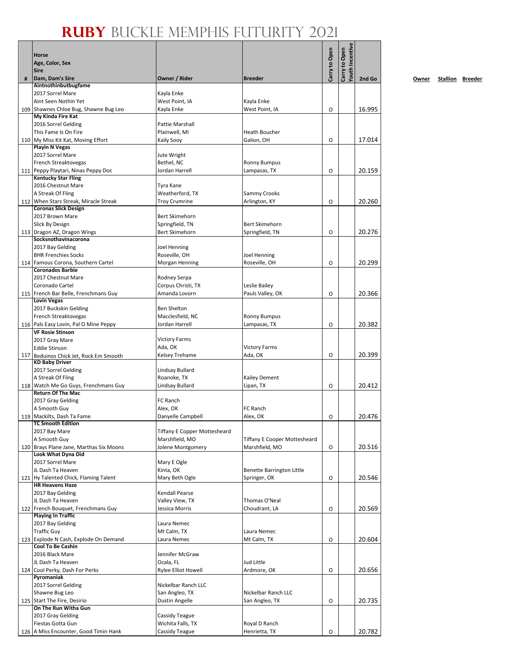|   | RUBY BUCKL                                                      |                                          |                                                       |               |                                  |        |
|---|-----------------------------------------------------------------|------------------------------------------|-------------------------------------------------------|---------------|----------------------------------|--------|
|   |                                                                 |                                          |                                                       |               |                                  |        |
|   | <b>Horse</b>                                                    |                                          |                                                       | Carry to Open | fouth Incentive<br>Carry to Open |        |
|   | Age, Color, Sex<br><b>Sire</b>                                  |                                          |                                                       |               |                                  |        |
| # | Dam, Dam's Sire                                                 | Owner / Rider                            | <b>Breeder</b>                                        |               |                                  | 2nd Go |
|   | Aintnothinbutbugfame<br>2017 Sorrel Mare                        | Kayla Enke                               |                                                       |               |                                  |        |
|   | Aint Seen Nothin Yet                                            | West Point, IA                           | Kayla Enke                                            |               |                                  |        |
|   | 109 Shawnes Chloe Bug, Shawne Bug Leo                           | Kayla Enke                               | West Point, IA                                        | O             |                                  | 16.995 |
|   | My Kinda Fire Kat<br>2016 Sorrel Gelding                        | Pattie Marshall                          |                                                       |               |                                  |        |
|   | This Fame Is On Fire                                            | Plainwell, MI                            | <b>Heath Boucher</b>                                  |               |                                  |        |
|   | 110 My Miss Kit Kat, Moving Effort                              | Kaily Sooy                               | Galion, OH                                            | O             |                                  | 17.014 |
|   | <b>Playin N Vegas</b><br>2017 Sorrel Mare                       | Jute Wright                              |                                                       |               |                                  |        |
|   | French Streaktovegas                                            | Bethel, NC                               | <b>Ronny Bumpus</b>                                   |               |                                  |        |
|   | 111 Peppy Playtari, Ninas Peppy Doc                             | Jordan Harrell                           | Lampasas, TX                                          | O             |                                  | 20.159 |
|   | <b>Kentucky Star Fling</b>                                      |                                          |                                                       |               |                                  |        |
|   | 2016 Chestnut Mare<br>A Streak Of Fling                         | Tyra Kane<br>Weatherford, TX             | Sammy Crooks                                          |               |                                  |        |
|   | 112 When Stars Streak, Miracle Streak                           | <b>Troy Crumrine</b>                     | Arlington, KY                                         | O             |                                  | 20.260 |
|   | <b>Coronas Slick Design</b>                                     |                                          |                                                       |               |                                  |        |
|   | 2017 Brown Mare                                                 | <b>Bert Skimehorn</b>                    | Bert Skimehorn                                        |               |                                  |        |
|   | Slick By Design<br>113 Dragon AZ, Dragon Wings                  | Springfield, TN<br><b>Bert Skimehorn</b> | Springfield, TN                                       | O             |                                  | 20.276 |
|   | Socksnothavinacorona                                            |                                          |                                                       |               |                                  |        |
|   | 2017 Bay Gelding                                                | <b>Joel Henning</b>                      |                                                       |               |                                  |        |
|   | <b>BHR Frenchies Socks</b>                                      | Roseville, OH                            | Joel Henning<br>Roseville, OH                         |               |                                  | 20.299 |
|   | 114 Famous Corona, Southern Cartel<br><b>Coronados Barbie</b>   | Morgan Henning                           |                                                       | O             |                                  |        |
|   | 2017 Chestnut Mare                                              | Rodney Serpa                             |                                                       |               |                                  |        |
|   | Coronado Cartel                                                 | Corpus Christi, TX                       | Leslie Bailey                                         |               |                                  |        |
|   | 115 French Bar Belle, Frenchmans Guy<br><b>Lovin Vegas</b>      | Amanda Lovorn                            | Pauls Valley, OK                                      | O             |                                  | 20.366 |
|   | 2017 Buckskin Gelding                                           | Ben Shelton                              |                                                       |               |                                  |        |
|   | French Streaktovegas                                            | Macclesfield, NC                         | <b>Ronny Bumpus</b>                                   |               |                                  |        |
|   | 116 Pals Easy Lovin, Pal O Mine Peppy                           | Jordan Harrell                           | Lampasas, TX                                          | O             |                                  | 20.382 |
|   | <b>VF Rosie Stinson</b>                                         | <b>Victory Farms</b>                     |                                                       |               |                                  |        |
|   | 2017 Gray Mare<br><b>Eddie Stinson</b>                          | Ada, OK                                  | <b>Victory Farms</b>                                  |               |                                  |        |
|   | 117 Beduinos Chick Jet, Rock Em Smooth                          | Kelsey Trehame                           | Ada, OK                                               | O             |                                  | 20.399 |
|   | <b>KD Baby Driver</b>                                           |                                          |                                                       |               |                                  |        |
|   | 2017 Sorrel Gelding<br>A Streak Of Fling                        | Lindsay Bullard<br>Roanoke, TX           | <b>Kailey Dement</b>                                  |               |                                  |        |
|   | 118 Watch Me Go Guys, Frenchmans Guy                            | Lindsay Bullard                          | Lipan, TX                                             | O             |                                  | 20.412 |
|   | <b>Return Of The Mac</b>                                        |                                          |                                                       |               |                                  |        |
|   | 2017 Gray Gelding<br>A Smooth Guy                               | FC Ranch<br>Alex, OK                     | FC Ranch                                              |               |                                  |        |
|   | 119 Mackilts, Dash Ta Fame                                      | Danyelle Campbell                        | Alex, OK                                              | O             |                                  | 20.476 |
|   | <b>TC Smooth Edition</b>                                        |                                          |                                                       |               |                                  |        |
|   | 2017 Bay Mare                                                   | Tiffany E Copper Mottesheard             |                                                       |               |                                  |        |
|   | A Smooth Guy<br>120 Brays Plane Jane, Marthas Six Moons         | Marshfield, MO<br>Jolene Montgomery      | <b>Tiffany E Cooper Mottesheard</b><br>Marshfield, MO |               |                                  |        |
|   | Look What Dyna Did                                              |                                          |                                                       | O             |                                  | 20.516 |
|   | 2017 Sorrel Mare                                                | Mary E Ogle                              |                                                       |               |                                  |        |
|   | JL Dash Ta Heaven                                               | Kinta, OK                                | Benette Barrington Little                             |               |                                  |        |
|   | 121 Hy Talented Chick, Flaming Talent<br><b>HR Heavens Haze</b> | Mary Beth Ogle                           | Springer, OK                                          | O             |                                  | 20.546 |
|   | 2017 Bay Gelding                                                | Kendall Pearse                           |                                                       |               |                                  |        |
|   | JL Dash Ta Heaven                                               | Valley View, TX                          | Thomas O'Neal                                         |               |                                  |        |
|   | 122 French Bouquet, Frenchmans Guy<br><b>Playing In Traffic</b> | Jessica Morris                           | Choudrant, LA                                         | O             |                                  | 20.569 |
|   | 2017 Bay Gelding                                                | Laura Nemec                              |                                                       |               |                                  |        |
|   | <b>Traffic Guy</b>                                              | Mt Calm, TX                              | Laura Nemec                                           |               |                                  |        |
|   | 123 Explode N Cash, Explode On Demand                           | Laura Nemec                              | Mt Calm, TX                                           | O             |                                  | 20.604 |
|   | <b>Cool To Be Cashin</b><br>2016 Black Mare                     | Jennifer McGraw                          |                                                       |               |                                  |        |
|   | JL Dash Ta Heaven                                               | Ocala, FL                                | Jud Little                                            |               |                                  |        |
|   | 124 Cool Perky, Dash For Perks                                  | Rylee Elliot Howell                      | Ardmore, OK                                           | O             |                                  | 20.656 |
|   | Pyromaniak                                                      |                                          |                                                       |               |                                  |        |
|   | 2017 Sorrel Gelding<br>Shawne Bug Leo                           | Nickelbar Ranch LLC<br>San Angleo, TX    | Nickelbar Ranch LLC                                   |               |                                  |        |
|   | 125 Start The Fire, Desirio                                     | Dustin Angelle                           | San Angleo, TX                                        | O             |                                  | 20.735 |
|   | On The Run Witha Gun                                            |                                          |                                                       |               |                                  |        |
|   | 2017 Gray Gelding                                               | Cassidy Teague                           |                                                       |               |                                  |        |
|   | Fiestas Gotta Gun<br>126 A Miss Encounter, Good Timin Hank      | Wichita Falls, TX<br>Cassidy Teague      | Royal D Ranch<br>Henrietta, TX                        | O             |                                  | 20.782 |
|   |                                                                 |                                          |                                                       |               |                                  |        |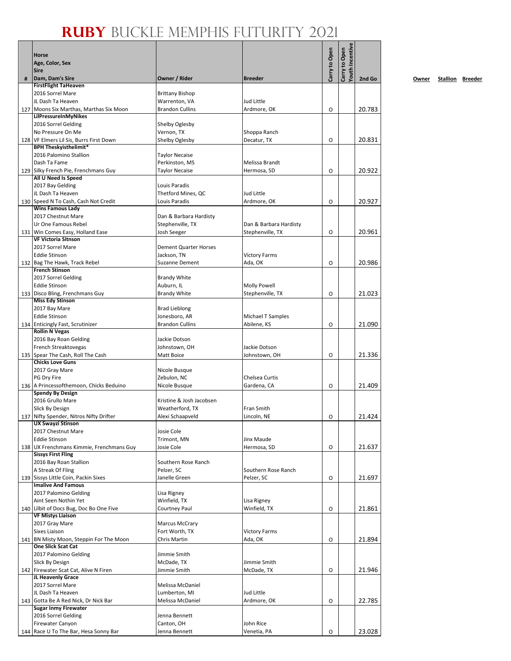#### **Ruby** Buckle Memphis Futurity 2021

|   | <b>Horse</b><br>Age, Color, Sex<br><b>Sire</b>                      |                                         |                                   | Carry to Open | <b>Touth Incentive</b><br>Carry to Open |        |
|---|---------------------------------------------------------------------|-----------------------------------------|-----------------------------------|---------------|-----------------------------------------|--------|
| # | Dam, Dam's Sire                                                     | Owner / Rider                           | <b>Breeder</b>                    |               |                                         | 2nd Go |
|   | <b>FirstFlight TaHeaven</b>                                         |                                         |                                   |               |                                         |        |
|   | 2016 Sorrel Mare<br>JL Dash Ta Heaven                               | <b>Brittany Bishop</b>                  | Jud Little                        |               |                                         |        |
|   | 127 Moons Six Marthas, Marthas Six Moon                             | Warrenton, VA<br><b>Brandon Cullins</b> | Ardmore, OK                       | O             |                                         | 20.783 |
|   | LilPressureInMyNikes                                                |                                         |                                   |               |                                         |        |
|   | 2016 Sorrel Gelding                                                 | Shelby Oglesby                          |                                   |               |                                         |        |
|   | No Pressure On Me                                                   | Vernon, TX                              | Shoppa Ranch                      |               |                                         |        |
|   | 128 VF Elmers Lil Sis, Burrs First Down                             | Shelby Oglesby                          | Decatur, TX                       | O             |                                         | 20.831 |
|   | <b>BPH Theskyisthelimit*</b><br>2016 Palomino Stallion              |                                         |                                   |               |                                         |        |
|   | Dash Ta Fame                                                        | <b>Taylor Necaise</b><br>Perkinston, MS | Melissa Brandt                    |               |                                         |        |
|   | 129 Silky French Pie, Frenchmans Guy                                | <b>Taylor Necaise</b>                   | Hermosa, SD                       | O             |                                         | 20.922 |
|   | All U Need Is Speed                                                 |                                         |                                   |               |                                         |        |
|   | 2017 Bay Gelding                                                    | Louis Paradis                           |                                   |               |                                         |        |
|   | JL Dash Ta Heaven                                                   | Thetford Mines, QC                      | Jud Little                        |               |                                         |        |
|   | 130 Speed N To Cash, Cash Not Credit<br><b>Wins Famous Lady</b>     | Louis Paradis                           | Ardmore, OK                       | O             |                                         | 20.927 |
|   | 2017 Chestnut Mare                                                  | Dan & Barbara Hardisty                  |                                   |               |                                         |        |
|   | Ur One Famous Rebel                                                 | Stephenville, TX                        | Dan & Barbara Hardisty            |               |                                         |        |
|   | 131 Win Comes Easy, Holland Ease                                    | Josh Seeger                             | Stephenville, TX                  | O             |                                         | 20.961 |
|   | <b>VF Victoria Sitnson</b>                                          |                                         |                                   |               |                                         |        |
|   | 2017 Sorrel Mare                                                    | <b>Dement Quarter Horses</b>            |                                   |               |                                         |        |
|   | <b>Eddie Stinson</b>                                                | Jackson, TN                             | <b>Victory Farms</b>              |               |                                         |        |
|   | 132 Bag The Hawk, Track Rebel<br><b>French Stinson</b>              | <b>Suzanne Dement</b>                   | Ada, OK                           | O             |                                         | 20.986 |
|   | 2017 Sorrel Gelding                                                 | <b>Brandy White</b>                     |                                   |               |                                         |        |
|   | <b>Eddie Stinson</b>                                                | Auburn, IL                              | <b>Molly Powell</b>               |               |                                         |        |
|   | 133 Disco Bling, Frenchmans Guy                                     | <b>Brandy White</b>                     | Stephenville, TX                  | O             |                                         | 21.023 |
|   | <b>Miss Edy Stinson</b>                                             |                                         |                                   |               |                                         |        |
|   | 2017 Bay Mare                                                       | <b>Brad Lieblong</b>                    |                                   |               |                                         |        |
|   | <b>Eddie Stinson</b><br>134 Enticingly Fast, Scrutinizer            | Jonesboro, AR<br><b>Brandon Cullins</b> | Michael T Samples<br>Abilene, KS  | $\circ$       |                                         | 21.090 |
|   | <b>Rollin N Vegas</b>                                               |                                         |                                   |               |                                         |        |
|   | 2016 Bay Roan Gelding                                               | Jackie Dotson                           |                                   |               |                                         |        |
|   | French Streaktovegas                                                | Johnstown, OH                           | Jackie Dotson                     |               |                                         |        |
|   | 135 Spear The Cash, Roll The Cash                                   | Matt Boice                              | Johnstown, OH                     | O             |                                         | 21.336 |
|   | <b>Chicks Love Guns</b>                                             |                                         |                                   |               |                                         |        |
|   | 2017 Gray Mare<br>PG Dry Fire                                       | Nicole Busque<br>Zebulon, NC            | Chelsea Curtis                    |               |                                         |        |
|   | 136 A Princessofthemoon, Chicks Beduino                             | Nicole Busque                           | Gardena, CA                       | O             |                                         | 21.409 |
|   | <b>Spendy By Design</b>                                             |                                         |                                   |               |                                         |        |
|   | 2016 Grullo Mare                                                    | Kristine & Josh Jacobsen                |                                   |               |                                         |        |
|   | Slick By Design                                                     | Weatherford, TX                         | Fran Smith                        |               |                                         |        |
|   | 137 Nifty Spender, Nitros Nifty Drifter<br><b>UX Swayzi Stinson</b> | Alexi Schaapveld                        | Lincoln, NE                       | O             |                                         | 21.424 |
|   | 2017 Chestnut Mare                                                  | Josie Cole                              |                                   |               |                                         |        |
|   | <b>Eddie Stinson</b>                                                | Trimont, MN                             | Jinx Maude                        |               |                                         |        |
|   | 138 UX Frenchmans Kimmie, Frenchmans Guy                            | Josie Cole                              | Hermosa, SD                       | O             |                                         | 21.637 |
|   | <b>Sissys First Fling</b>                                           |                                         |                                   |               |                                         |        |
|   | 2016 Bay Roan Stallion                                              | Southern Rose Ranch                     |                                   |               |                                         |        |
|   | A Streak Of Fling<br>139 Sissys Little Coin, Packin Sixes           | Pelzer, SC<br>Janelle Green             | Southern Rose Ranch<br>Pelzer, SC | O             |                                         | 21.697 |
|   | <b>Imalive And Famous</b>                                           |                                         |                                   |               |                                         |        |
|   | 2017 Palomino Gelding                                               | Lisa Rigney                             |                                   |               |                                         |        |
|   | Aint Seen Nothin Yet                                                | Winfield, TX                            | Lisa Rigney                       |               |                                         |        |
|   | 140 Lilbit of Docs Bug, Doc Bo One Five                             | Courtney Paul                           | Winfield, TX                      | O             |                                         | 21.861 |
|   | <b>VF Mistys Liaison</b>                                            |                                         |                                   |               |                                         |        |
|   | 2017 Gray Mare<br><b>Sixes Liaison</b>                              | <b>Marcus McCrary</b><br>Fort Worth, TX | <b>Victory Farms</b>              |               |                                         |        |
|   | 141 BN Misty Moon, Steppin For The Moon                             | Chris Martin                            | Ada, OK                           | O             |                                         | 21.894 |
|   | <b>One Slick Scat Cat</b>                                           |                                         |                                   |               |                                         |        |
|   | 2017 Palomino Gelding                                               | Jimmie Smith                            |                                   |               |                                         |        |
|   | Slick By Design                                                     | McDade, TX                              | Jimmie Smith                      |               |                                         |        |
|   | 142 Firewater Scat Cat, Alive N Firen                               | Jimmie Smith                            | McDade, TX                        | O             |                                         | 21.946 |
|   | JL Heavenly Grace<br>2017 Sorrel Mare                               | Melissa McDaniel                        |                                   |               |                                         |        |
|   | JL Dash Ta Heaven                                                   | Lumberton, MI                           | Jud Little                        |               |                                         |        |
|   | 143 Gotta Be A Red Nick, Dr Nick Bar                                | Melissa McDaniel                        | Ardmore, OK                       | O             |                                         | 22.785 |
|   | <b>Sugar Inmy Firewater</b>                                         |                                         |                                   |               |                                         |        |
|   | 2016 Sorrel Gelding                                                 | Jenna Bennett                           |                                   |               |                                         |        |
|   | <b>Firewater Canyon</b>                                             | Canton, OH                              | John Rice                         |               |                                         |        |
|   | 144 Race U To The Bar, Hesa Sonny Bar                               | Jenna Bennett                           | Venetia, PA                       | O             |                                         | 23.028 |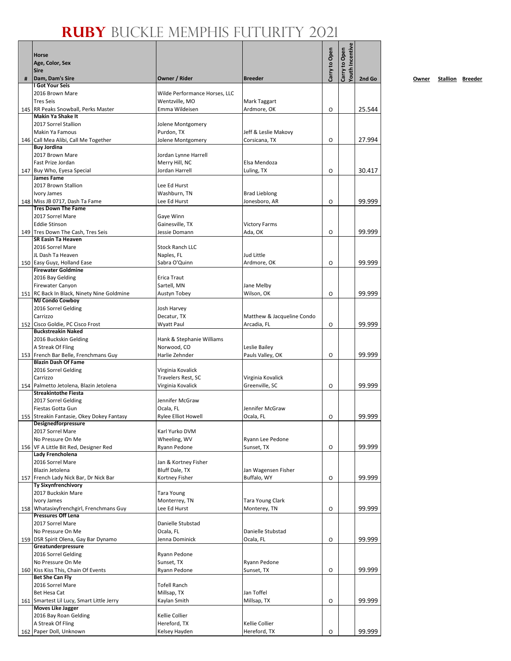|   | <b>Horse</b><br>Age, Color, Sex<br><b>Sire</b>                        |                                          |                                | Carry to Open | fouth Incentive<br>Carry to Open |        |
|---|-----------------------------------------------------------------------|------------------------------------------|--------------------------------|---------------|----------------------------------|--------|
| # | Dam, Dam's Sire                                                       | Owner / Rider                            | <b>Breeder</b>                 |               |                                  | 2nd Go |
|   | I Got Your Seis<br>2016 Brown Mare                                    | Wilde Performance Horses, LLC            |                                |               |                                  |        |
|   | <b>Tres Seis</b>                                                      | Wentzville, MO                           | Mark Taggart                   |               |                                  |        |
|   | 145   RR Peaks Snowball, Perks Master                                 | Emma Wildeisen                           | Ardmore, OK                    | 0             |                                  | 25.544 |
|   | <b>Makin Ya Shake It</b>                                              |                                          |                                |               |                                  |        |
|   | 2017 Sorrel Stallion                                                  | Jolene Montgomery                        |                                |               |                                  |        |
|   | <b>Makin Ya Famous</b>                                                | Purdon, TX                               | Jeff & Leslie Makovy           |               |                                  |        |
|   | 146 Call Mea Alibi, Call Me Together<br><b>Buy Jordina</b>            | Jolene Montgomery                        | Corsicana, TX                  | O             |                                  | 27.994 |
|   | 2017 Brown Mare                                                       | Jordan Lynne Harrell                     |                                |               |                                  |        |
|   | Fast Prize Jordan                                                     | Merry Hill, NC                           | Elsa Mendoza                   |               |                                  |        |
|   | 147 Buy Who, Eyesa Special                                            | Jordan Harrell                           | Luling, TX                     | 0             |                                  | 30.417 |
|   | <b>James Fame</b>                                                     |                                          |                                |               |                                  |        |
|   | 2017 Brown Stallion<br>Ivory James                                    | Lee Ed Hurst<br>Washburn, TN             | <b>Brad Lieblong</b>           |               |                                  |        |
|   | 148 Miss JB 0717, Dash Ta Fame                                        | Lee Ed Hurst                             | Jonesboro, AR                  | O             |                                  | 99.999 |
|   | <b>Tres Down The Fame</b>                                             |                                          |                                |               |                                  |        |
|   | 2017 Sorrel Mare                                                      | Gaye Winn                                |                                |               |                                  |        |
|   | <b>Eddie Stinson</b>                                                  | Gainesville, TX                          | <b>Victory Farms</b>           |               |                                  |        |
|   | 149 Tres Down The Cash, Tres Seis                                     | Jessie Domann                            | Ada, OK                        | O             |                                  | 99.999 |
|   | SR Easin Ta Heaven<br>2016 Sorrel Mare                                | <b>Stock Ranch LLC</b>                   |                                |               |                                  |        |
|   | JL Dash Ta Heaven                                                     | Naples, FL                               | Jud Little                     |               |                                  |        |
|   | 150 Easy Guyz, Holland Ease                                           | Sabra O'Quinn                            | Ardmore, OK                    | O             |                                  | 99.999 |
|   | <b>Firewater Goldmine</b>                                             |                                          |                                |               |                                  |        |
|   | 2016 Bay Gelding                                                      | Erica Traut                              |                                |               |                                  |        |
|   | <b>Firewater Canyon</b><br>151 RC Back In Black, Ninety Nine Goldmine | Sartell, MN<br>Austyn Tobey              | Jane Melby<br>Wilson, OK       | 0             |                                  | 99.999 |
|   | <b>MJ Condo Cowboy</b>                                                |                                          |                                |               |                                  |        |
|   | 2016 Sorrel Gelding                                                   | Josh Harvey                              |                                |               |                                  |        |
|   | Carrizzo                                                              | Decatur, TX                              | Matthew & Jacqueline Condo     |               |                                  |        |
|   | 152 Cisco Goldie, PC Cisco Frost                                      | Wyatt Paul                               | Arcadia, FL                    | 0             |                                  | 99.999 |
|   | <b>Buckstreakin Naked</b>                                             |                                          |                                |               |                                  |        |
|   | 2016 Buckskin Gelding<br>A Streak Of Fling                            | Hank & Stephanie Williams<br>Norwood, CO | Leslie Bailey                  |               |                                  |        |
|   | 153 French Bar Belle, Frenchmans Guy                                  | Harlie Zehnder                           | Pauls Valley, OK               | O             |                                  | 99.999 |
|   | <b>Blazin Dash Of Fame</b>                                            |                                          |                                |               |                                  |        |
|   | 2016 Sorrel Gelding                                                   | Virginia Kovalick                        |                                |               |                                  |        |
|   | Carrizzo                                                              | Travelers Rest, SC                       | Virginia Kovalick              |               |                                  |        |
|   | 154 Palmetto Jetolena, Blazin Jetolena<br><b>Streakintothe Fiesta</b> | Virginia Kovalick                        | Greenville, SC                 | O             |                                  | 99.999 |
|   | 2017 Sorrel Gelding                                                   | Jennifer McGraw                          |                                |               |                                  |        |
|   | Fiestas Gotta Gun                                                     | Ocala, FL                                | Jennifer McGraw                |               |                                  |        |
|   | 155 Streakin Fantasie, Okey Dokey Fantasy                             | <b>Rylee Elliot Howell</b>               | Ocala, FL                      | O             |                                  | 99.999 |
|   | Designedforpressure                                                   |                                          |                                |               |                                  |        |
|   | 2017 Sorrel Mare<br>No Pressure On Me                                 | Karl Yurko DVM<br>Wheeling, WV           | Ryann Lee Pedone               |               |                                  |        |
|   | 156 VF A Little Bit Red, Designer Red                                 | Ryann Pedone                             | Sunset, TX                     | O             |                                  | 99.999 |
|   | Lady Frencholena                                                      |                                          |                                |               |                                  |        |
|   | 2016 Sorrel Mare                                                      | Jan & Kortney Fisher                     |                                |               |                                  |        |
|   | Blazin Jetolena                                                       | Bluff Dale, TX                           | Jan Wagensen Fisher            |               |                                  |        |
|   | 157 French Lady Nick Bar, Dr Nick Bar<br><b>Ty Sixynfrenchivory</b>   | Kortney Fisher                           | Buffalo, WY                    | O             |                                  | 99.999 |
|   | 2017 Buckskin Mare                                                    | <b>Tara Young</b>                        |                                |               |                                  |        |
|   | Ivory James                                                           | Monterrey, TN                            | Tara Young Clark               |               |                                  |        |
|   | 158 Whatasixyfrenchgirl, Frenchmans Guy                               | Lee Ed Hurst                             | Monterey, TN                   | 0             |                                  | 99.999 |
|   | <b>Pressures Off Lena</b>                                             |                                          |                                |               |                                  |        |
|   | 2017 Sorrel Mare<br>No Pressure On Me                                 | Danielle Stubstad<br>Ocala, FL           | Danielle Stubstad              |               |                                  |        |
|   | 159 DSR Spirit Olena, Gay Bar Dynamo                                  | Jenna Dominick                           | Ocala, FL                      | O             |                                  | 99.999 |
|   | Greatunderpressure                                                    |                                          |                                |               |                                  |        |
|   | 2016 Sorrel Gelding                                                   | Ryann Pedone                             |                                |               |                                  |        |
|   | No Pressure On Me                                                     | Sunset, TX                               | Ryann Pedone                   |               |                                  |        |
|   | 160 Kiss Kiss This, Chain Of Events                                   | Ryann Pedone                             | Sunset, TX                     | O             |                                  | 99.999 |
|   | <b>Bet She Can Fly</b><br>2016 Sorrel Mare                            | <b>Tofell Ranch</b>                      |                                |               |                                  |        |
|   | Bet Hesa Cat                                                          | Millsap, TX                              | Jan Toffel                     |               |                                  |        |
|   | 161 Smartest Lil Lucy, Smart Little Jerry                             | Kaylan Smith                             | Millsap, TX                    | O             |                                  | 99.999 |
|   | <b>Moves Like Jagger</b>                                              |                                          |                                |               |                                  |        |
|   | 2016 Bay Roan Gelding                                                 | Kellie Collier                           |                                |               |                                  |        |
|   | A Streak Of Fling<br>162 Paper Doll, Unknown                          | Hereford, TX<br>Kelsey Hayden            | Kellie Collier<br>Hereford, TX |               |                                  | 99.999 |
|   |                                                                       |                                          |                                | O             |                                  |        |